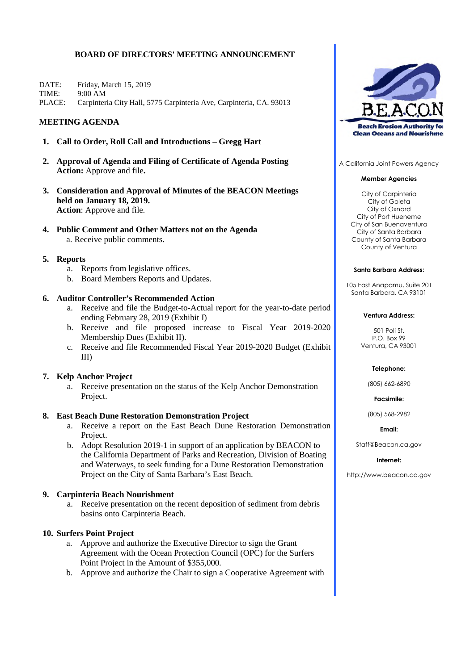# **BOARD OF DIRECTORS' MEETING ANNOUNCEMENT**

DATE: Friday, March 15, 2019 TIME:  $9:00 AM$ PLACE: Carpinteria City Hall, 5775 Carpinteria Ave, Carpinteria, CA, 93013

## **MEETING AGENDA**

- 1. Call to Order, Roll Call and Introductions Gregg Hart
- 2. Approval of Agenda and Filing of Certificate of Agenda Posting **Action:** Approve and file.
- 3. Consideration and Approval of Minutes of the BEACON Meetings held on January 18, 2019. **Action:** Approve and file.
- 4. Public Comment and Other Matters not on the Agenda a. Receive public comments.

## 5. Reports

- a. Reports from legislative offices.
- b. Board Members Reports and Updates.

## 6. Auditor Controller's Recommended Action

- a. Receive and file the Budget-to-Actual report for the year-to-date period ending February 28, 2019 (Exhibit I)
- b. Receive and file proposed increase to Fiscal Year 2019-2020 Membership Dues (Exhibit II).
- c. Receive and file Recommended Fiscal Year 2019-2020 Budget (Exhibit  $III$ )

## 7. Kelp Anchor Project

a. Receive presentation on the status of the Kelp Anchor Demonstration Project.

## 8. East Beach Dune Restoration Demonstration Project

- a. Receive a report on the East Beach Dune Restoration Demonstration Project.
- b. Adopt Resolution 2019-1 in support of an application by BEACON to the California Department of Parks and Recreation, Division of Boating and Waterways, to seek funding for a Dune Restoration Demonstration Project on the City of Santa Barbara's East Beach.

# 9. Carpinteria Beach Nourishment

a. Receive presentation on the recent deposition of sediment from debris basins onto Carpinteria Beach.

## 10. Surfers Point Project

- a. Approve and authorize the Executive Director to sign the Grant Agreement with the Ocean Protection Council (OPC) for the Surfers Point Project in the Amount of \$355,000.
- b. Approve and authorize the Chair to sign a Cooperative Agreement with



A California Joint Powers Agency

### **Member Agencies**

City of Carpinteria City of Goleta City of Oxnard City of Port Hueneme City of San Buenaventura City of Santa Barbara County of Santa Barbara County of Ventura

### **Santa Barbara Address:**

105 East Anapamu, Suite 201 Santa Barbara, CA 93101

### **Ventura Address:**

501 Poli St.  $P \cap Rov99$ Ventura, CA 93001

### Telephone:

(805) 662-6890

Facsimile:

(805) 568-2982

**Fmail:** 

Staff@Beacon.ca.gov

### Internet:

http://www.beacon.ca.gov